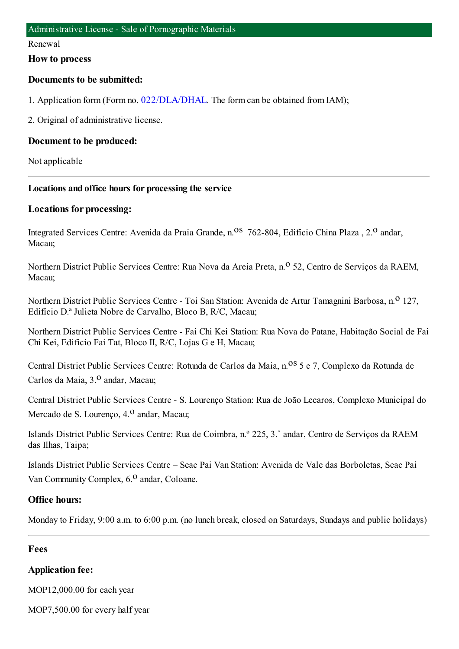#### Renewal

#### **How to process**

#### **Documents to be submitted:**

1. Application form (Form no. [022/DLA/DHAL](https://www.iam.gov.mo/c/pdf/eformDetail/PDF1013). The form can be obtained from IAM);

2. Original of administrative license.

#### **Document to be produced:**

Not applicable

#### **Locations and office hours for processing the service**

#### **Locations for processing:**

Integrated Services Centre: Avenida da Praia Grande, n.<sup>08</sup> 762-804, Edifício China Plaza , 2.<sup>0</sup> andar, Macau;

Northern District Public Services Centre: Rua Nova da Areia Preta, n.<sup>o</sup> 52, Centro de Servicos da RAEM, Macau;

Northern District Public Services Centre - Toi San Station: Avenida de Artur Tamagnini Barbosa, n.<sup>0</sup> 127, Edifício D.ª Julieta Nobre de Carvalho, Bloco B, R/C, Macau;

Northern District Public Services Centre - Fai Chi Kei Station: Rua Nova do Patane, Habitação Social de Fai Chi Kei, Edifício Fai Tat, Bloco II, R/C, Lojas G e H, Macau;

Central District Public Services Centre: Rotunda de Carlos da Maia, n.<sup>08</sup> 5 e 7, Complexo da Rotunda de Carlos da Maia, 3.<sup>0</sup> andar, Macau;

Central District Public Services Centre - S. Lourenço Station: Rua de João Lecaros, Complexo Municipal do Mercado de S. Lourenco, 4.<sup>0</sup> andar, Macau;

Islands District Public Services Centre: Rua de Coimbra, n.º 225, 3.˚ andar, Centro de Serviços da RAEM das Ilhas, Taipa;

Islands District Public Services Centre – Seac Pai Van Station: Avenida de Vale das Borboletas, Seac Pai Van Community Complex,  $6<sup>0</sup>$  andar, Coloane.

#### **Office hours:**

Monday to Friday, 9:00 a.m. to 6:00 p.m. (no lunch break, closed on Saturdays, Sundays and public holidays)

#### **Fees**

#### **Application fee:**

MOP12,000.00 for each year

MOP7,500.00 for every half year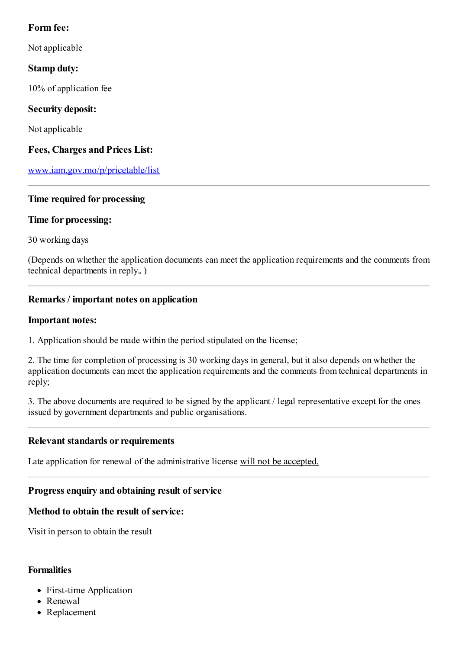### **Form fee:**

Not applicable

## **Stamp duty:**

10% of application fee

## **Security deposit:**

Not applicable

### **Fees, Charges and Prices List:**

[www.iam.gov.mo/p/pricetable/list](http://www.iam.gov.mo/p/pricetable/list)

### **Time required for processing**

### **Time for processing:**

30 working days

(Depends on whether the application documents can meet the application requirements and the comments from technical departments in reply。)

### **Remarks / important notes on application**

#### **Important notes:**

1. Application should be made within the period stipulated on the license;

2. The time for completion of processing is 30 working days in general, but it also depends on whether the application documents can meet the application requirements and the comments fromtechnical departments in reply;

3. The above documents are required to be signed by the applicant / legal representative except for the ones issued by government departments and public organisations.

### **Relevant standards or requirements**

Late application for renewal of the administrative license will not be accepted.

## **Progressenquiry and obtaining result of service**

### **Method to obtain the result of service:**

Visit in person to obtain the result

### **Formalities**

- First-time Application
- Renewal
- Replacement